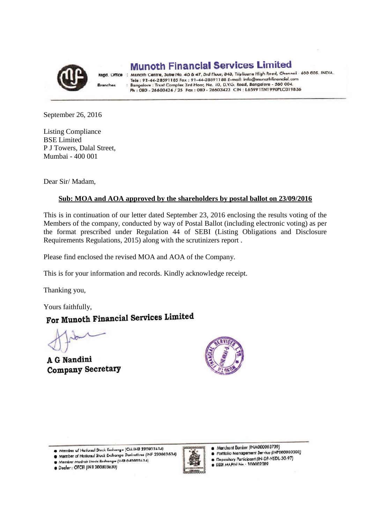

**Dranches** 

**Munoth Financial Services Limited** 

Regd. Office : Munoth Centre, Suite No. 46 & 47, 3rd Floor, 343, Triplicane High Road, Chennai - 600 005. INDIA. Tele : 91-44-28591185 Fax : 91-44-28591188 E-mail: info@munothfinancial.com Bangalore : Trust Complex 3rd Floor, No. 10, D.V.G. Road, Bangalore - 560 004.<br>Ph : 080 - 26603424 / 25 Fax : 080 - 26603423 CIN : L65991TN1990PLC019836

September 26, 2016

Listing Compliance BSE Limited P J Towers, Dalal Street, Mumbai - 400 001

Dear Sir/ Madam,

# **Sub: MOA and AOA approved by the shareholders by postal ballot on 23/09/2016**

This is in continuation of our letter dated September 23, 2016 enclosing the results voting of the Members of the company, conducted by way of Postal Ballot (including electronic voting) as per the format prescribed under Regulation 44 of SEBI (Listing Obligations and Disclosure Requirements Regulations, 2015) along with the scrutinizers report .

Please find enclosed the revised MOA and AOA of the Company.

This is for your information and records. Kindly acknowledge receipt.

Thanking you,

# Yours faithfully,<br>For Munoth Financial Services Limited

A G Nandini **Company Secretary** 



Member of National Stock Exchange (CM INB 230803634)

Member of National Stock Exchange Derivatives (INF 230803634)

Member Madras Stock Exchange (11-18 040803634) · Dealer: OTCEI (INB 200803630)



Merchant Banker (INM000003739)

Portfolio Management Service (INP000000308)

Depository Participant (IN-DP-NSDL-30-97)  $\bullet$ 

**@ SEBI AAA,PIN Nn - 100002089**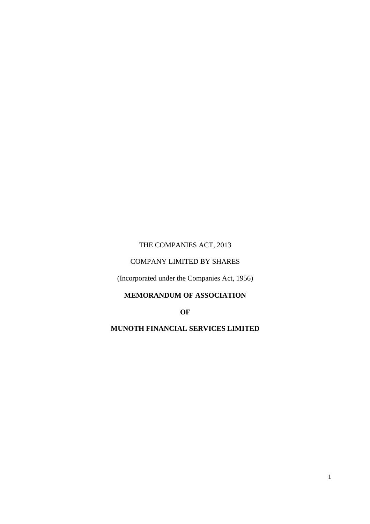# THE COMPANIES ACT, 2013

#### COMPANY LIMITED BY SHARES

(Incorporated under the Companies Act, 1956)

# **MEMORANDUM OF ASSOCIATION**

**OF** 

# **MUNOTH FINANCIAL SERVICES LIMITED**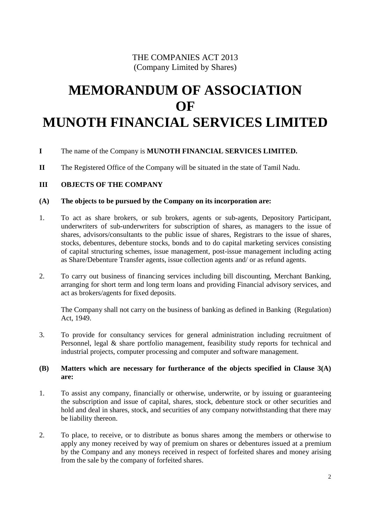# THE COMPANIES ACT 2013 (Company Limited by Shares)

# **MEMORANDUM OF ASSOCIATION OF MUNOTH FINANCIAL SERVICES LIMITED**

# **I** The name of the Company is **MUNOTH FINANCIAL SERVICES LIMITED.**

**II** The Registered Office of the Company will be situated in the state of Tamil Nadu.

#### **III OBJECTS OF THE COMPANY**

#### **(A) The objects to be pursued by the Company on its incorporation are:**

- 1. To act as share brokers, or sub brokers, agents or sub-agents, Depository Participant, underwriters of sub-underwriters for subscription of shares, as managers to the issue of shares, advisors/consultants to the public issue of shares, Registrars to the issue of shares, stocks, debentures, debenture stocks, bonds and to do capital marketing services consisting of capital structuring schemes, issue management, post-issue management including acting as Share/Debenture Transfer agents, issue collection agents and/ or as refund agents.
- 2. To carry out business of financing services including bill discounting, Merchant Banking, arranging for short term and long term loans and providing Financial advisory services, and act as brokers/agents for fixed deposits.

The Company shall not carry on the business of banking as defined in Banking (Regulation) Act, 1949.

3. To provide for consultancy services for general administration including recruitment of Personnel, legal & share portfolio management, feasibility study reports for technical and industrial projects, computer processing and computer and software management.

#### **(B) Matters which are necessary for furtherance of the objects specified in Clause 3(A) are:**

- 1. To assist any company, financially or otherwise, underwrite, or by issuing or guaranteeing the subscription and issue of capital, shares, stock, debenture stock or other securities and hold and deal in shares, stock, and securities of any company notwithstanding that there may be liability thereon.
- 2. To place, to receive, or to distribute as bonus shares among the members or otherwise to apply any money received by way of premium on shares or debentures issued at a premium by the Company and any moneys received in respect of forfeited shares and money arising from the sale by the company of forfeited shares.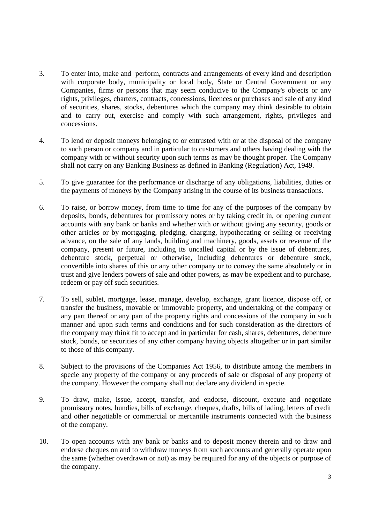- 3. To enter into, make and perform, contracts and arrangements of every kind and description with corporate body, municipality or local body, State or Central Government or any Companies, firms or persons that may seem conducive to the Company's objects or any rights, privileges, charters, contracts, concessions, licences or purchases and sale of any kind of securities, shares, stocks, debentures which the company may think desirable to obtain and to carry out, exercise and comply with such arrangement, rights, privileges and concessions.
- 4. To lend or deposit moneys belonging to or entrusted with or at the disposal of the company to such person or company and in particular to customers and others having dealing with the company with or without security upon such terms as may be thought proper. The Company shall not carry on any Banking Business as defined in Banking (Regulation) Act, 1949.
- 5. To give guarantee for the performance or discharge of any obligations, liabilities, duties or the payments of moneys by the Company arising in the course of its business transactions.
- 6. To raise, or borrow money, from time to time for any of the purposes of the company by deposits, bonds, debentures for promissory notes or by taking credit in, or opening current accounts with any bank or banks and whether with or without giving any security, goods or other articles or by mortgaging, pledging, charging, hypothecating or selling or receiving advance, on the sale of any lands, building and machinery, goods, assets or revenue of the company, present or future, including its uncalled capital or by the issue of debentures, debenture stock, perpetual or otherwise, including debentures or debenture stock, convertible into shares of this or any other company or to convey the same absolutely or in trust and give lenders powers of sale and other powers, as may be expedient and to purchase, redeem or pay off such securities.
- 7. To sell, sublet, mortgage, lease, manage, develop, exchange, grant licence, dispose off, or transfer the business, movable or immovable property, and undertaking of the company or any part thereof or any part of the property rights and concessions of the company in such manner and upon such terms and conditions and for such consideration as the directors of the company may think fit to accept and in particular for cash, shares, debentures, debenture stock, bonds, or securities of any other company having objects altogether or in part similar to those of this company.
- 8. Subject to the provisions of the Companies Act 1956, to distribute among the members in specie any property of the company or any proceeds of sale or disposal of any property of the company. However the company shall not declare any dividend in specie.
- 9. To draw, make, issue, accept, transfer, and endorse, discount, execute and negotiate promissory notes, hundies, bills of exchange, cheques, drafts, bills of lading, letters of credit and other negotiable or commercial or mercantile instruments connected with the business of the company.
- 10. To open accounts with any bank or banks and to deposit money therein and to draw and endorse cheques on and to withdraw moneys from such accounts and generally operate upon the same (whether overdrawn or not) as may be required for any of the objects or purpose of the company.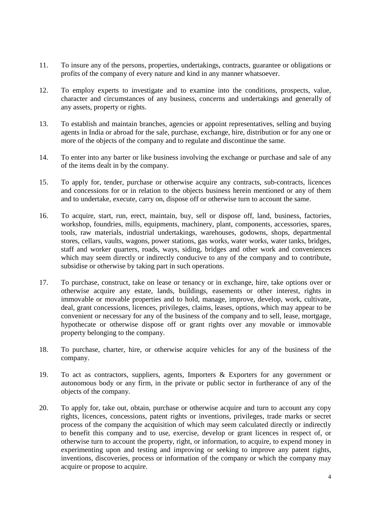- 11. To insure any of the persons, properties, undertakings, contracts, guarantee or obligations or profits of the company of every nature and kind in any manner whatsoever.
- 12. To employ experts to investigate and to examine into the conditions, prospects, value, character and circumstances of any business, concerns and undertakings and generally of any assets, property or rights.
- 13. To establish and maintain branches, agencies or appoint representatives, selling and buying agents in India or abroad for the sale, purchase, exchange, hire, distribution or for any one or more of the objects of the company and to regulate and discontinue the same.
- 14. To enter into any barter or like business involving the exchange or purchase and sale of any of the items dealt in by the company.
- 15. To apply for, tender, purchase or otherwise acquire any contracts, sub-contracts, licences and concessions for or in relation to the objects business herein mentioned or any of them and to undertake, execute, carry on, dispose off or otherwise turn to account the same.
- 16. To acquire, start, run, erect, maintain, buy, sell or dispose off, land, business, factories, workshop, foundries, mills, equipments, machinery, plant, components, accessories, spares, tools, raw materials, industrial undertakings, warehouses, godowns, shops, departmental stores, cellars, vaults, wagons, power stations, gas works, water works, water tanks, bridges, staff and worker quarters, roads, ways, siding, bridges and other work and conveniences which may seem directly or indirectly conducive to any of the company and to contribute, subsidise or otherwise by taking part in such operations.
- 17. To purchase, construct, take on lease or tenancy or in exchange, hire, take options over or otherwise acquire any estate, lands, buildings, easements or other interest, rights in immovable or movable properties and to hold, manage, improve, develop, work, cultivate, deal, grant concessions, licences, privileges, claims, leases, options, which may appear to be convenient or necessary for any of the business of the company and to sell, lease, mortgage, hypothecate or otherwise dispose off or grant rights over any movable or immovable property belonging to the company.
- 18. To purchase, charter, hire, or otherwise acquire vehicles for any of the business of the company.
- 19. To act as contractors, suppliers, agents, Importers & Exporters for any government or autonomous body or any firm, in the private or public sector in furtherance of any of the objects of the company.
- 20. To apply for, take out, obtain, purchase or otherwise acquire and turn to account any copy rights, licences, concessions, patent rights or inventions, privileges, trade marks or secret process of the company the acquisition of which may seem calculated directly or indirectly to benefit this company and to use, exercise, develop or grant licences in respect of, or otherwise turn to account the property, right, or information, to acquire, to expend money in experimenting upon and testing and improving or seeking to improve any patent rights, inventions, discoveries, process or information of the company or which the company may acquire or propose to acquire.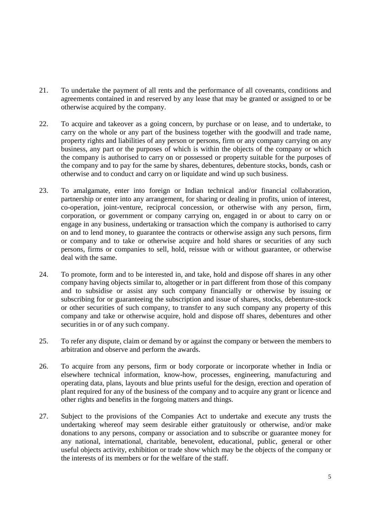- 21. To undertake the payment of all rents and the performance of all covenants, conditions and agreements contained in and reserved by any lease that may be granted or assigned to or be otherwise acquired by the company.
- 22. To acquire and takeover as a going concern, by purchase or on lease, and to undertake, to carry on the whole or any part of the business together with the goodwill and trade name, property rights and liabilities of any person or persons, firm or any company carrying on any business, any part or the purposes of which is within the objects of the company or which the company is authorised to carry on or possessed or property suitable for the purposes of the company and to pay for the same by shares, debentures, debenture stocks, bonds, cash or otherwise and to conduct and carry on or liquidate and wind up such business.
- 23. To amalgamate, enter into foreign or Indian technical and/or financial collaboration, partnership or enter into any arrangement, for sharing or dealing in profits, union of interest, co-operation, joint-venture, reciprocal concession, or otherwise with any person, firm, corporation, or government or company carrying on, engaged in or about to carry on or engage in any business, undertaking or transaction which the company is authorised to carry on and to lend money, to guarantee the contracts or otherwise assign any such persons, firm or company and to take or otherwise acquire and hold shares or securities of any such persons, firms or companies to sell, hold, reissue with or without guarantee, or otherwise deal with the same.
- 24. To promote, form and to be interested in, and take, hold and dispose off shares in any other company having objects similar to, altogether or in part different from those of this company and to subsidise or assist any such company financially or otherwise by issuing or subscribing for or guaranteeing the subscription and issue of shares, stocks, debenture-stock or other securities of such company, to transfer to any such company any property of this company and take or otherwise acquire, hold and dispose off shares, debentures and other securities in or of any such company.
- 25. To refer any dispute, claim or demand by or against the company or between the members to arbitration and observe and perform the awards.
- 26. To acquire from any persons, firm or body corporate or incorporate whether in India or elsewhere technical information, know-how, processes, engineering, manufacturing and operating data, plans, layouts and blue prints useful for the design, erection and operation of plant required for any of the business of the company and to acquire any grant or licence and other rights and benefits in the forgoing matters and things.
- 27. Subject to the provisions of the Companies Act to undertake and execute any trusts the undertaking whereof may seem desirable either gratuitously or otherwise, and/or make donations to any persons, company or association and to subscribe or guarantee money for any national, international, charitable, benevolent, educational, public, general or other useful objects activity, exhibition or trade show which may be the objects of the company or the interests of its members or for the welfare of the staff.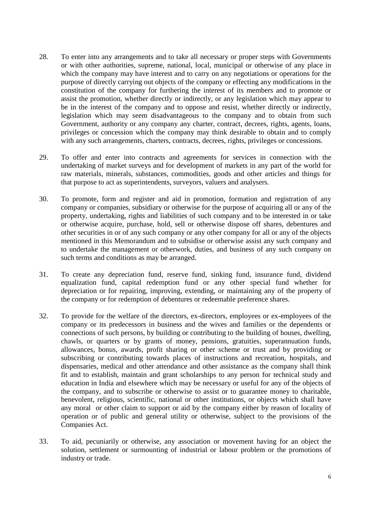- 28. To enter into any arrangements and to take all necessary or proper steps with Governments or with other authorities, supreme, national, local, municipal or otherwise of any place in which the company may have interest and to carry on any negotiations or operations for the purpose of directly carrying out objects of the company or effecting any modifications in the constitution of the company for furthering the interest of its members and to promote or assist the promotion, whether directly or indirectly, or any legislation which may appear to be in the interest of the company and to oppose and resist, whether directly or indirectly, legislation which may seem disadvantageous to the company and to obtain from such Government, authority or any company any charter, contract, decrees, rights, agents, loans, privileges or concession which the company may think desirable to obtain and to comply with any such arrangements, charters, contracts, decrees, rights, privileges or concessions.
- 29. To offer and enter into contracts and agreements for services in connection with the undertaking of market surveys and for development of markets in any part of the world for raw materials, minerals, substances, commodities, goods and other articles and things for that purpose to act as superintendents, surveyors, valuers and analysers.
- 30. To promote, form and register and aid in promotion, formation and registration of any company or companies, subsidiary or otherwise for the purpose of acquiring all or any of the property, undertaking, rights and liabilities of such company and to be interested in or take or otherwise acquire, purchase, hold, sell or otherwise dispose off shares, debentures and other securities in or of any such company or any other company for all or any of the objects mentioned in this Memorandum and to subsidise or otherwise assist any such company and to undertake the management or otherwork, duties, and business of any such company on such terms and conditions as may be arranged.
- 31. To create any depreciation fund, reserve fund, sinking fund, insurance fund, dividend equalization fund, capital redemption fund or any other special fund whether for depreciation or for repairing, improving, extending, or maintaining any of the property of the company or for redemption of debentures or redeemable preference shares.
- 32. To provide for the welfare of the directors, ex-directors, employees or ex-employees of the company or its predecessors in business and the wives and families or the dependents or connections of such persons, by building or contributing to the building of houses, dwelling, chawls, or quarters or by grants of money, pensions, gratuities, superannuation funds, allowances, bonus, awards, profit sharing or other scheme or trust and by providing or subscribing or contributing towards places of instructions and recreation, hospitals, and dispensaries, medical and other attendance and other assistance as the company shall think fit and to establish, maintain and grant scholarships to any person for technical study and education in India and elsewhere which may be necessary or useful for any of the objects of the company, and to subscribe or otherwise to assist or to guarantee money to charitable, benevolent, religious, scientific, national or other institutions, or objects which shall have any moral or other claim to support or aid by the company either by reason of locality of operation or of public and general utility or otherwise, subject to the provisions of the Companies Act.
- 33. To aid, pecuniarily or otherwise, any association or movement having for an object the solution, settlement or surmounting of industrial or labour problem or the promotions of industry or trade.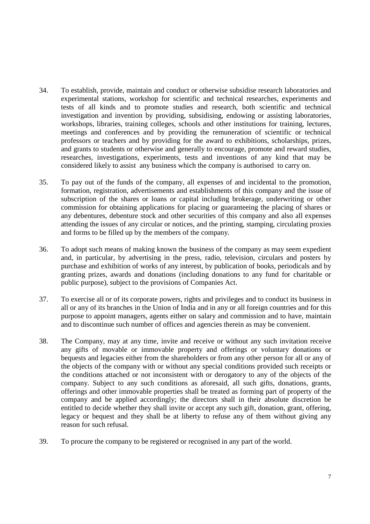- 34. To establish, provide, maintain and conduct or otherwise subsidise research laboratories and experimental stations, workshop for scientific and technical researches, experiments and tests of all kinds and to promote studies and research, both scientific and technical investigation and invention by providing, subsidising, endowing or assisting laboratories, workshops, libraries, training colleges, schools and other institutions for training, lectures, meetings and conferences and by providing the remuneration of scientific or technical professors or teachers and by providing for the award to exhibitions, scholarships, prizes, and grants to students or otherwise and generally to encourage, promote and reward studies, researches, investigations, experiments, tests and inventions of any kind that may be considered likely to assist any business which the company is authorised to carry on.
- 35. To pay out of the funds of the company, all expenses of and incidental to the promotion, formation, registration, advertisements and establishments of this company and the issue of subscription of the shares or loans or capital including brokerage, underwriting or other commission for obtaining applications for placing or guaranteeing the placing of shares or any debentures, debenture stock and other securities of this company and also all expenses attending the issues of any circular or notices, and the printing, stamping, circulating proxies and forms to be filled up by the members of the company.
- 36. To adopt such means of making known the business of the company as may seem expedient and, in particular, by advertising in the press, radio, television, circulars and posters by purchase and exhibition of works of any interest, by publication of books, periodicals and by granting prizes, awards and donations (including donations to any fund for charitable or public purpose), subject to the provisions of Companies Act.
- 37. To exercise all or of its corporate powers, rights and privileges and to conduct its business in all or any of its branches in the Union of India and in any or all foreign countries and for this purpose to appoint managers, agents either on salary and commission and to have, maintain and to discontinue such number of offices and agencies therein as may be convenient.
- 38. The Company, may at any time, invite and receive or without any such invitation receive any gifts of movable or immovable property and offerings or voluntary donations or bequests and legacies either from the shareholders or from any other person for all or any of the objects of the company with or without any special conditions provided such receipts or the conditions attached or not inconsistent with or derogatory to any of the objects of the company. Subject to any such conditions as aforesaid, all such gifts, donations, grants, offerings and other immovable properties shall be treated as forming part of property of the company and be applied accordingly; the directors shall in their absolute discretion be entitled to decide whether they shall invite or accept any such gift, donation, grant, offering, legacy or bequest and they shall be at liberty to refuse any of them without giving any reason for such refusal.
- 39. To procure the company to be registered or recognised in any part of the world.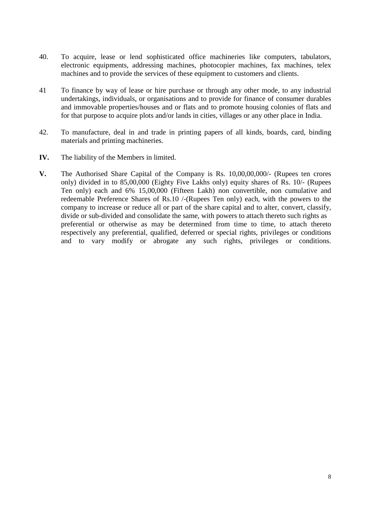- 40. To acquire, lease or lend sophisticated office machineries like computers, tabulators, electronic equipments, addressing machines, photocopier machines, fax machines, telex machines and to provide the services of these equipment to customers and clients.
- 41 To finance by way of lease or hire purchase or through any other mode, to any industrial undertakings, individuals, or organisations and to provide for finance of consumer durables and immovable properties/houses and or flats and to promote housing colonies of flats and for that purpose to acquire plots and/or lands in cities, villages or any other place in India.
- 42. To manufacture, deal in and trade in printing papers of all kinds, boards, card, binding materials and printing machineries.
- **IV.** The liability of the Members in limited.
- **V.** The Authorised Share Capital of the Company is Rs. 10,00,00,000/- (Rupees ten crores only) divided in to 85,00,000 (Eighty Five Lakhs only) equity shares of Rs. 10/- (Rupees Ten only) each and 6% 15,00,000 (Fifteen Lakh) non convertible, non cumulative and redeemable Preference Shares of Rs.10 /-(Rupees Ten only) each, with the powers to the company to increase or reduce all or part of the share capital and to alter, convert, classify, divide or sub-divided and consolidate the same, with powers to attach thereto such rights as preferential or otherwise as may be determined from time to time, to attach thereto respectively any preferential, qualified, deferred or special rights, privileges or conditions and to vary modify or abrogate any such rights, privileges or conditions.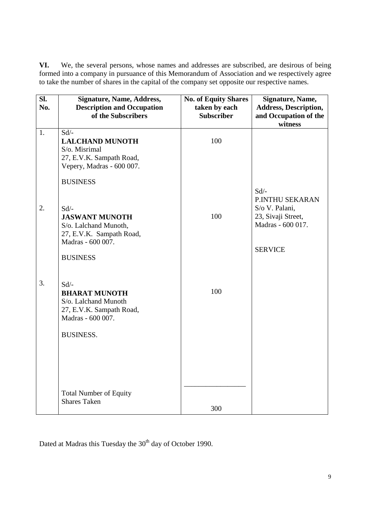**VI.** We, the several persons, whose names and addresses are subscribed, are desirous of being formed into a company in pursuance of this Memorandum of Association and we respectively agree to take the number of shares in the capital of the company set opposite our respective names.

| SI.<br>No. | <b>Signature, Name, Address,</b><br><b>Description and Occupation</b><br>of the Subscribers                                              | <b>No. of Equity Shares</b><br>taken by each<br><b>Subscriber</b> | Signature, Name,<br><b>Address, Description,</b><br>and Occupation of the<br>witness                      |
|------------|------------------------------------------------------------------------------------------------------------------------------------------|-------------------------------------------------------------------|-----------------------------------------------------------------------------------------------------------|
| 1.         | $Sd$ <sup>-</sup><br><b>LALCHAND MUNOTH</b><br>S/o. Misrimal<br>27, E.V.K. Sampath Road,<br>Vepery, Madras - 600 007.<br><b>BUSINESS</b> | 100                                                               |                                                                                                           |
| 2.         | $Sd$ /-<br><b>JASWANT MUNOTH</b><br>S/o. Lalchand Munoth,<br>27, E.V.K. Sampath Road,<br>Madras - 600 007.<br><b>BUSINESS</b>            | 100                                                               | $Sd$ /-<br>P.INTHU SEKARAN<br>S/o V. Palani,<br>23, Sivaji Street,<br>Madras - 600 017.<br><b>SERVICE</b> |
| 3.         | $Sd$ /-<br><b>BHARAT MUNOTH</b><br>S/o. Lalchand Munoth<br>27, E.V.K. Sampath Road,<br>Madras - 600 007.<br><b>BUSINESS.</b>             | 100                                                               |                                                                                                           |
|            | <b>Total Number of Equity</b><br><b>Shares Taken</b>                                                                                     | 300                                                               |                                                                                                           |

Dated at Madras this Tuesday the 30<sup>th</sup> day of October 1990.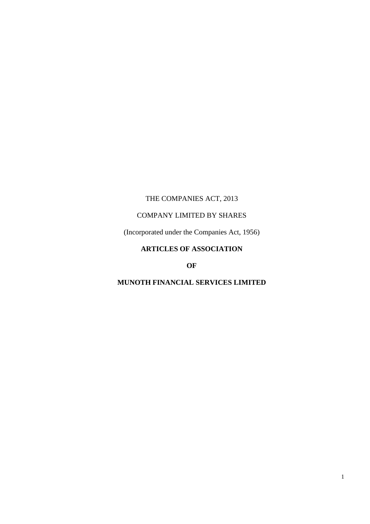# THE COMPANIES ACT, 2013

# COMPANY LIMITED BY SHARES

(Incorporated under the Companies Act, 1956)

# **ARTICLES OF ASSOCIATION**

**OF** 

# **MUNOTH FINANCIAL SERVICES LIMITED**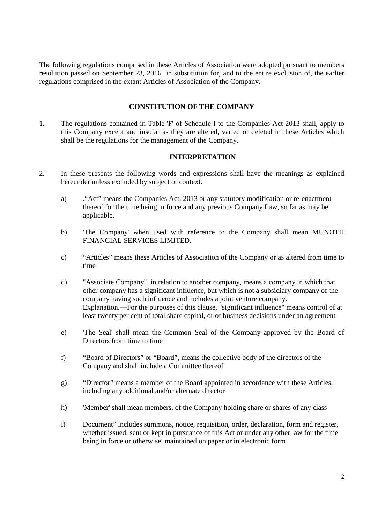The following regulations comprised in these Articles of Association were adopted pursuant to members resolution passed on September 23, 2016 in substitution for, and to the entire exclusion of, the earlier regulations comprised in the extant Articles of Association of the Company.

#### **CONSTITUTION OF THE COMPANY**

1. The regulations contained in Table 'F' of Schedule I to the Companies Act 2013 shall, apply to this Company except and insofar as they are altered, varied or deleted in these Articles which shall be the regulations for the management of the Company.

#### **INTERPRETATION**

- 2. In these presents the following words and expressions shall have the meanings as explained hereunder unless excluded by subject or context.
	- a) ."Act" means the Companies Act, 2013 or any statutory modification or re-enactment thereof for the time being in force and any previous Company Law, so far as may be applicable.
	- b) 'The Company' when used with reference to the Company shall mean MUNOTH FINANCIAL SERVICES LIMITED.
	- c) "Articles" means these Articles of Association of the Company or as altered from time to time
	- d) "Associate Company", in relation to another company, means a company in which that other company has a significant influence, but which is not a subsidiary company of the company having such influence and includes a joint venture company. Explanation.—For the purposes of this clause, "significant influence" means control of at least twenty per cent of total share capital, or of business decisions under an agreement
	- e) 'The Seal' shall mean the Common Seal of the Company approved by the Board of Directors from time to time
	- f) "Board of Directors" or "Board", means the collective body of the directors of the Company and shall include a Committee thereof
	- g) "Director" means a member of the Board appointed in accordance with these Articles, including any additional and/or alternate director
	- h) 'Member' shall mean members, of the Company holding share or shares of any class
	- i) Document" includes summons, notice, requisition, order, declaration, form and register, whether issued, sent or kept in pursuance of this Act or under any other law for the time being in force or otherwise, maintained on paper or in electronic form.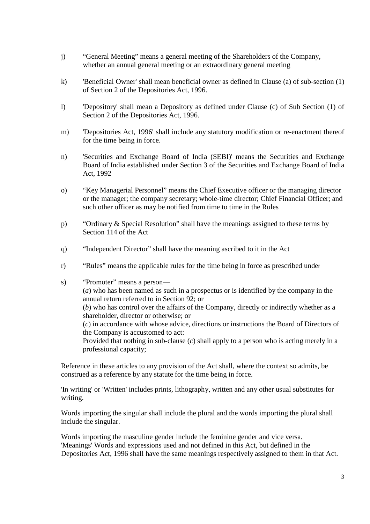- j) "General Meeting" means a general meeting of the Shareholders of the Company, whether an annual general meeting or an extraordinary general meeting
- k) 'Beneficial Owner' shall mean beneficial owner as defined in Clause (a) of sub-section (1) of Section 2 of the Depositories Act, 1996.
- l) 'Depository' shall mean a Depository as defined under Clause (c) of Sub Section (1) of Section 2 of the Depositories Act, 1996.
- m) 'Depositories Act, 1996' shall include any statutory modification or re-enactment thereof for the time being in force.
- n) 'Securities and Exchange Board of India (SEBI)' means the Securities and Exchange Board of India established under Section 3 of the Securities and Exchange Board of India Act, 1992
- o) "Key Managerial Personnel" means the Chief Executive officer or the managing director or the manager; the company secretary; whole-time director; Chief Financial Officer; and such other officer as may be notified from time to time in the Rules
- p) "Ordinary & Special Resolution" shall have the meanings assigned to these terms by Section 114 of the Act
- q) "Independent Director" shall have the meaning ascribed to it in the Act
- r) "Rules" means the applicable rules for the time being in force as prescribed under
- s) "Promoter" means a person-(*a*) who has been named as such in a prospectus or is identified by the company in the annual return referred to in Section 92; or (*b*) who has control over the affairs of the Company, directly or indirectly whether as a shareholder, director or otherwise; or (*c*) in accordance with whose advice, directions or instructions the Board of Directors of the Company is accustomed to act: Provided that nothing in sub-clause (*c*) shall apply to a person who is acting merely in a professional capacity;

Reference in these articles to any provision of the Act shall, where the context so admits, be construed as a reference by any statute for the time being in force.

 'In writing' or 'Written' includes prints, lithography, written and any other usual substitutes for writing.

Words importing the singular shall include the plural and the words importing the plural shall include the singular.

Words importing the masculine gender include the feminine gender and vice versa. 'Meanings' Words and expressions used and not defined in this Act, but defined in the Depositories Act, 1996 shall have the same meanings respectively assigned to them in that Act.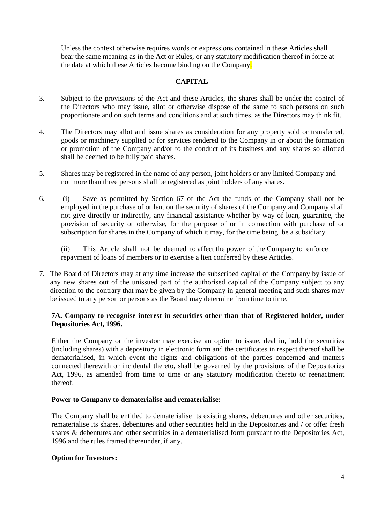Unless the context otherwise requires words or expressions contained in these Articles shall bear the same meaning as in the Act or Rules, or any statutory modification thereof in force at the date at which these Articles become binding on the Company.

#### **CAPITAL**

- 3. Subject to the provisions of the Act and these Articles, the shares shall be under the control of the Directors who may issue, allot or otherwise dispose of the same to such persons on such proportionate and on such terms and conditions and at such times, as the Directors may think fit.
- 4. The Directors may allot and issue shares as consideration for any property sold or transferred, goods or machinery supplied or for services rendered to the Company in or about the formation or promotion of the Company and/or to the conduct of its business and any shares so allotted shall be deemed to be fully paid shares.
- 5. Shares may be registered in the name of any person, joint holders or any limited Company and not more than three persons shall be registered as joint holders of any shares.
- 6. (i) Save as permitted by Section 67 of the Act the funds of the Company shall not be employed in the purchase of or lent on the security of shares of the Company and Company shall not give directly or indirectly, any financial assistance whether by way of loan, guarantee, the provision of security or otherwise, for the purpose of or in connection with purchase of or subscription for shares in the Company of which it may, for the time being, be a subsidiary.

(ii) This Article shall not be deemed to affect the power of the Company to enforce repayment of loans of members or to exercise a lien conferred by these Articles.

7. The Board of Directors may at any time increase the subscribed capital of the Company by issue of any new shares out of the unissued part of the authorised capital of the Company subject to any direction to the contrary that may be given by the Company in general meeting and such shares may be issued to any person or persons as the Board may determine from time to time.

#### **7A. Company to recognise interest in securities other than that of Registered holder, under Depositories Act, 1996.**

Either the Company or the investor may exercise an option to issue, deal in, hold the securities (including shares) with a depository in electronic form and the certificates in respect thereof shall be dematerialised, in which event the rights and obligations of the parties concerned and matters connected therewith or incidental thereto, shall be governed by the provisions of the Depositories Act, 1996, as amended from time to time or any statutory modification thereto or reenactment thereof.

#### **Power to Company to dematerialise and rematerialise:**

The Company shall be entitled to dematerialise its existing shares, debentures and other securities, rematerialise its shares, debentures and other securities held in the Depositories and / or offer fresh shares & debentures and other securities in a dematerialised form pursuant to the Depositories Act, 1996 and the rules framed thereunder, if any.

#### **Option for Investors:**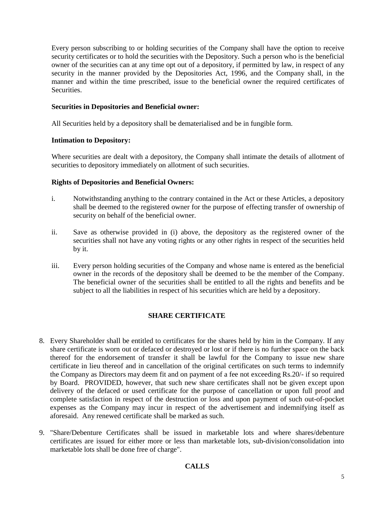Every person subscribing to or holding securities of the Company shall have the option to receive security certificates or to hold the securities with the Depository. Such a person who is the beneficial owner of the securities can at any time opt out of a depository, if permitted by law, in respect of any security in the manner provided by the Depositories Act, 1996, and the Company shall, in the manner and within the time prescribed, issue to the beneficial owner the required certificates of Securities.

#### **Securities in Depositories and Beneficial owner:**

All Securities held by a depository shall be dematerialised and be in fungible form.

#### **Intimation to Depository:**

Where securities are dealt with a depository, the Company shall intimate the details of allotment of securities to depository immediately on allotment of such securities.

#### **Rights of Depositories and Beneficial Owners:**

- i. Notwithstanding anything to the contrary contained in the Act or these Articles, a depository shall be deemed to the registered owner for the purpose of effecting transfer of ownership of security on behalf of the beneficial owner.
- ii. Save as otherwise provided in (i) above, the depository as the registered owner of the securities shall not have any voting rights or any other rights in respect of the securities held by it.
- iii. Every person holding securities of the Company and whose name is entered as the beneficial owner in the records of the depository shall be deemed to be the member of the Company. The beneficial owner of the securities shall be entitled to all the rights and benefits and be subject to all the liabilities in respect of his securities which are held by a depository.

# **SHARE CERTIFICATE**

- 8. Every Shareholder shall be entitled to certificates for the shares held by him in the Company. If any share certificate is worn out or defaced or destroyed or lost or if there is no further space on the back thereof for the endorsement of transfer it shall be lawful for the Company to issue new share certificate in lieu thereof and in cancellation of the original certificates on such terms to indemnify the Company as Directors may deem fit and on payment of a fee not exceeding Rs.20/- if so required by Board. PROVIDED, however, that such new share certificates shall not be given except upon delivery of the defaced or used certificate for the purpose of cancellation or upon full proof and complete satisfaction in respect of the destruction or loss and upon payment of such out-of-pocket expenses as the Company may incur in respect of the advertisement and indemnifying itself as aforesaid. Any renewed certificate shall be marked as such.
- 9. "Share/Debenture Certificates shall be issued in marketable lots and where shares/debenture certificates are issued for either more or less than marketable lots, sub-division/consolidation into marketable lots shall be done free of charge".

# **CALLS**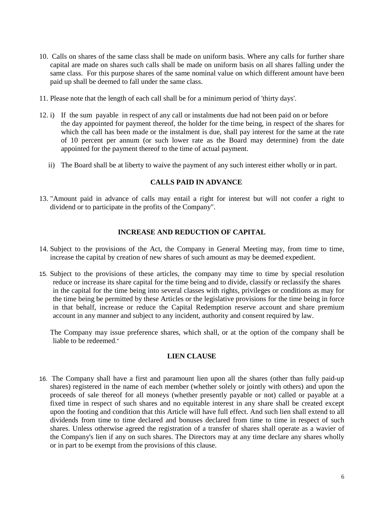- 10. Calls on shares of the same class shall be made on uniform basis. Where any calls for further share capital are made on shares such calls shall be made on uniform basis on all shares falling under the same class. For this purpose shares of the same nominal value on which different amount have been paid up shall be deemed to fall under the same class.
- 11. Please note that the length of each call shall be for a minimum period of 'thirty days'.
- 12. i) If the sum payable in respect of any call or instalments due had not been paid on or before the day appointed for payment thereof, the holder for the time being, in respect of the shares for which the call has been made or the instalment is due, shall pay interest for the same at the rate of 10 percent per annum (or such lower rate as the Board may determine) from the date appointed for the payment thereof to the time of actual payment.
	- ii) The Board shall be at liberty to waive the payment of any such interest either wholly or in part.

#### **CALLS PAID IN ADVANCE**

13. "Amount paid in advance of calls may entail a right for interest but will not confer a right to dividend or to participate in the profits of the Company".

#### **INCREASE AND REDUCTION OF CAPITAL**

- 14. Subject to the provisions of the Act, the Company in General Meeting may, from time to time, increase the capital by creation of new shares of such amount as may be deemed expedient.
- 15. Subject to the provisions of these articles, the company may time to time by special resolution reduce or increase its share capital for the time being and to divide, classify or reclassify the shares in the capital for the time being into several classes with rights, privileges or conditions as may for the time being be permitted by these Articles or the legislative provisions for the time being in force in that behalf, increase or reduce the Capital Redemption reserve account and share premium account in any manner and subject to any incident, authority and consent required by law.

The Company may issue preference shares, which shall, or at the option of the company shall be liable to be redeemed."

#### **LIEN CLAUSE**

16. The Company shall have a first and paramount lien upon all the shares (other than fully paid-up shares) registered in the name of each member (whether solely or jointly with others) and upon the proceeds of sale thereof for all moneys (whether presently payable or not) called or payable at a fixed time in respect of such shares and no equitable interest in any share shall be created except upon the footing and condition that this Article will have full effect. And such lien shall extend to all dividends from time to time declared and bonuses declared from time to time in respect of such shares. Unless otherwise agreed the registration of a transfer of shares shall operate as a wavier of the Company's lien if any on such shares. The Directors may at any time declare any shares wholly or in part to be exempt from the provisions of this clause.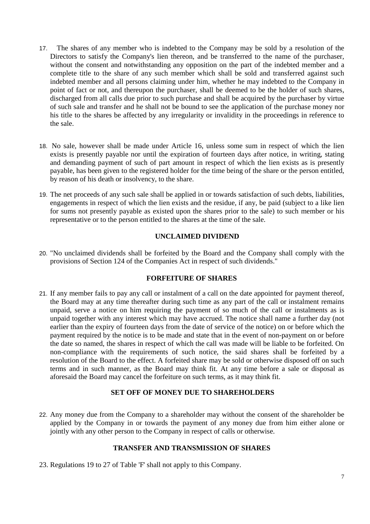- 17. The shares of any member who is indebted to the Company may be sold by a resolution of the Directors to satisfy the Company's lien thereon, and be transferred to the name of the purchaser, without the consent and notwithstanding any opposition on the part of the indebted member and a complete title to the share of any such member which shall be sold and transferred against such indebted member and all persons claiming under him, whether he may indebted to the Company in point of fact or not, and thereupon the purchaser, shall be deemed to be the holder of such shares, discharged from all calls due prior to such purchase and shall be acquired by the purchaser by virtue of such sale and transfer and he shall not be bound to see the application of the purchase money nor his title to the shares be affected by any irregularity or invalidity in the proceedings in reference to the sale.
- 18. No sale, however shall be made under Article 16, unless some sum in respect of which the lien exists is presently payable nor until the expiration of fourteen days after notice, in writing, stating and demanding payment of such of part amount in respect of which the lien exists as is presently payable, has been given to the registered holder for the time being of the share or the person entitled, by reason of his death or insolvency, to the share.
- 19. The net proceeds of any such sale shall be applied in or towards satisfaction of such debts, liabilities, engagements in respect of which the lien exists and the residue, if any, be paid (subject to a like lien for sums not presently payable as existed upon the shares prior to the sale) to such member or his representative or to the person entitled to the shares at the time of the sale.

#### **UNCLAIMED DIVIDEND**

20. "No unclaimed dividends shall be forfeited by the Board and the Company shall comply with the provisions of Section 124 of the Companies Act in respect of such dividends."

#### **FORFEITURE OF SHARES**

21. If any member fails to pay any call or instalment of a call on the date appointed for payment thereof, the Board may at any time thereafter during such time as any part of the call or instalment remains unpaid, serve a notice on him requiring the payment of so much of the call or instalments as is unpaid together with any interest which may have accrued. The notice shall name a further day (not earlier than the expiry of fourteen days from the date of service of the notice) on or before which the payment required by the notice is to be made and state that in the event of non-payment on or before the date so named, the shares in respect of which the call was made will be liable to be forfeited. On non-compliance with the requirements of such notice, the said shares shall be forfeited by a resolution of the Board to the effect. A forfeited share may be sold or otherwise disposed off on such terms and in such manner, as the Board may think fit. At any time before a sale or disposal as aforesaid the Board may cancel the forfeiture on such terms, as it may think fit.

#### **SET OFF OF MONEY DUE TO SHAREHOLDERS**

22. Any money due from the Company to a shareholder may without the consent of the shareholder be applied by the Company in or towards the payment of any money due from him either alone or jointly with any other person to the Company in respect of calls or otherwise.

#### **TRANSFER AND TRANSMISSION OF SHARES**

23. Regulations 19 to 27 of Table 'F' shall not apply to this Company.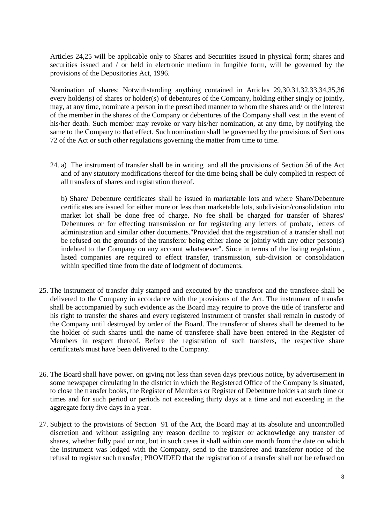Articles 24,25 will be applicable only to Shares and Securities issued in physical form; shares and securities issued and / or held in electronic medium in fungible form, will be governed by the provisions of the Depositories Act, 1996.

Nomination of shares: Notwithstanding anything contained in Articles 29,30,31,32,33,34,35,36 every holder(s) of shares or holder(s) of debentures of the Company, holding either singly or jointly, may, at any time, nominate a person in the prescribed manner to whom the shares and/ or the interest of the member in the shares of the Company or debentures of the Company shall vest in the event of his/her death. Such member may revoke or vary his/her nomination, at any time, by notifying the same to the Company to that effect. Such nomination shall be governed by the provisions of Sections 72 of the Act or such other regulations governing the matter from time to time.

24. a) The instrument of transfer shall be in writing and all the provisions of Section 56 of the Act and of any statutory modifications thereof for the time being shall be duly complied in respect of all transfers of shares and registration thereof.

b) Share/ Debenture certificates shall be issued in marketable lots and where Share/Debenture certificates are issued for either more or less than marketable lots, subdivision/consolidation into market lot shall be done free of charge. No fee shall be charged for transfer of Shares/ Debentures or for effecting transmission or for registering any letters of probate, letters of administration and similar other documents."Provided that the registration of a transfer shall not be refused on the grounds of the transferor being either alone or jointly with any other person(s) indebted to the Company on any account whatsoever". Since in terms of the listing regulation , listed companies are required to effect transfer, transmission, sub-division or consolidation within specified time from the date of lodgment of documents.

- 25. The instrument of transfer duly stamped and executed by the transferor and the transferee shall be delivered to the Company in accordance with the provisions of the Act. The instrument of transfer shall be accompanied by such evidence as the Board may require to prove the title of transferor and his right to transfer the shares and every registered instrument of transfer shall remain in custody of the Company until destroyed by order of the Board. The transferor of shares shall be deemed to be the holder of such shares until the name of transferee shall have been entered in the Register of Members in respect thereof. Before the registration of such transfers, the respective share certificate/s must have been delivered to the Company.
- 26. The Board shall have power, on giving not less than seven days previous notice, by advertisement in some newspaper circulating in the district in which the Registered Office of the Company is situated, to close the transfer books, the Register of Members or Register of Debenture holders at such time or times and for such period or periods not exceeding thirty days at a time and not exceeding in the aggregate forty five days in a year.
- 27. Subject to the provisions of Section 91 of the Act, the Board may at its absolute and uncontrolled discretion and without assigning any reason decline to register or acknowledge any transfer of shares, whether fully paid or not, but in such cases it shall within one month from the date on which the instrument was lodged with the Company, send to the transferee and transferor notice of the refusal to register such transfer; PROVIDED that the registration of a transfer shall not be refused on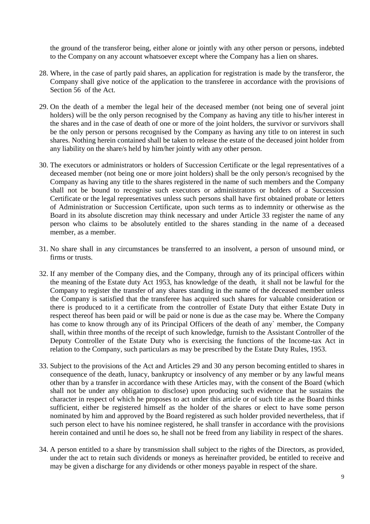the ground of the transferor being, either alone or jointly with any other person or persons, indebted to the Company on any account whatsoever except where the Company has a lien on shares.

- 28. Where, in the case of partly paid shares, an application for registration is made by the transferor, the Company shall give notice of the application to the transferee in accordance with the provisions of Section 56 of the Act.
- 29. On the death of a member the legal heir of the deceased member (not being one of several joint holders) will be the only person recognised by the Company as having any title to his/her interest in the shares and in the case of death of one or more of the joint holders, the survivor or survivors shall be the only person or persons recognised by the Company as having any title to on interest in such shares. Nothing herein contained shall be taken to release the estate of the deceased joint holder from any liability on the share/s held by him/her jointly with any other person.
- 30. The executors or administrators or holders of Succession Certificate or the legal representatives of a deceased member (not being one or more joint holders) shall be the only person/s recognised by the Company as having any title to the shares registered in the name of such members and the Company shall not be bound to recognise such executors or administrators or holders of a Succession Certificate or the legal representatives unless such persons shall have first obtained probate or letters of Administration or Succession Certificate, upon such terms as to indemnity or otherwise as the Board in its absolute discretion may think necessary and under Article 33 register the name of any person who claims to be absolutely entitled to the shares standing in the name of a deceased member, as a member.
- 31. No share shall in any circumstances be transferred to an insolvent, a person of unsound mind, or firms or trusts.
- 32. If any member of the Company dies, and the Company, through any of its principal officers within the meaning of the Estate duty Act 1953, has knowledge of the death, it shall not be lawful for the Company to register the transfer of any shares standing in the name of the deceased member unless the Company is satisfied that the transferee has acquired such shares for valuable consideration or there is produced to it a certificate from the controller of Estate Duty that either Estate Duty in respect thereof has been paid or will be paid or none is due as the case may be. Where the Company has come to know through any of its Principal Officers of the death of any` member, the Company shall, within three months of the receipt of such knowledge, furnish to the Assistant Controller of the Deputy Controller of the Estate Duty who is exercising the functions of the Income-tax Act in relation to the Company, such particulars as may be prescribed by the Estate Duty Rules, 1953.
- 33. Subject to the provisions of the Act and Articles 29 and 30 any person becoming entitled to shares in consequence of the death, lunacy, bankruptcy or insolvency of any member or by any lawful means other than by a transfer in accordance with these Articles may, with the consent of the Board (which shall not be under any obligation to disclose) upon producing such evidence that he sustains the character in respect of which he proposes to act under this article or of such title as the Board thinks sufficient, either be registered himself as the holder of the shares or elect to have some person nominated by him and approved by the Board registered as such holder provided nevertheless, that if such person elect to have his nominee registered, he shall transfer in accordance with the provisions herein contained and until he does so, he shall not be freed from any liability in respect of the shares.
- 34. A person entitled to a share by transmission shall subject to the rights of the Directors, as provided, under the act to retain such dividends or moneys as hereinafter provided, be entitled to receive and may be given a discharge for any dividends or other moneys payable in respect of the share.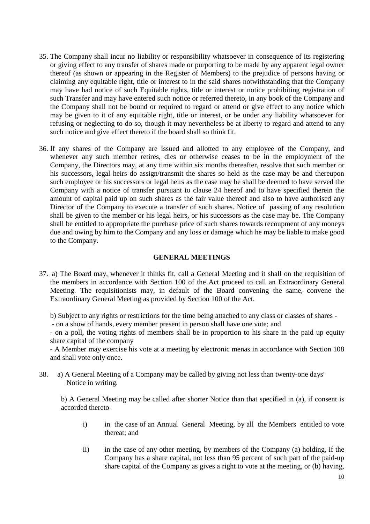- 35. The Company shall incur no liability or responsibility whatsoever in consequence of its registering or giving effect to any transfer of shares made or purporting to be made by any apparent legal owner thereof (as shown or appearing in the Register of Members) to the prejudice of persons having or claiming any equitable right, title or interest to in the said shares notwithstanding that the Company may have had notice of such Equitable rights, title or interest or notice prohibiting registration of such Transfer and may have entered such notice or referred thereto, in any book of the Company and the Company shall not be bound or required to regard or attend or give effect to any notice which may be given to it of any equitable right, title or interest, or be under any liability whatsoever for refusing or neglecting to do so, though it may nevertheless be at liberty to regard and attend to any such notice and give effect thereto if the board shall so think fit.
- 36. If any shares of the Company are issued and allotted to any employee of the Company, and whenever any such member retires, dies or otherwise ceases to be in the employment of the Company, the Directors may, at any time within six months thereafter, resolve that such member or his successors, legal heirs do assign/transmit the shares so held as the case may be and thereupon such employee or his successors or legal heirs as the case may be shall be deemed to have served the Company with a notice of transfer pursuant to clause 24 hereof and to have specified therein the amount of capital paid up on such shares as the fair value thereof and also to have authorised any Director of the Company to execute a transfer of such shares. Notice of passing of any resolution shall be given to the member or his legal heirs, or his successors as the case may be. The Company shall be entitled to appropriate the purchase price of such shares towards recoupment of any moneys due and owing by him to the Company and any loss or damage which he may be liable to make good to the Company.

#### **GENERAL MEETINGS**

37. a) The Board may, whenever it thinks fit, call a General Meeting and it shall on the requisition of the members in accordance with Section 100 of the Act proceed to call an Extraordinary General Meeting. The requisitionists may, in default of the Board convening the same, convene the Extraordinary General Meeting as provided by Section 100 of the Act.

b) Subject to any rights or restrictions for the time being attached to any class or classes of shares -

- on a show of hands, every member present in person shall have one vote; and

- on a poll, the voting rights of members shall be in proportion to his share in the paid up equity share capital of the company

- A Member may exercise his vote at a meeting by electronic menas in accordance with Section 108 and shall vote only once.

38. a) A General Meeting of a Company may be called by giving not less than twenty-one days' Notice in writing.

b) A General Meeting may be called after shorter Notice than that specified in (a), if consent is accorded thereto-

- i) in the case of an Annual General Meeting, by all the Members entitled to vote thereat; and
- ii) in the case of any other meeting, by members of the Company (a) holding, if the Company has a share capital, not less than 95 percent of such part of the paid-up share capital of the Company as gives a right to vote at the meeting, or (b) having,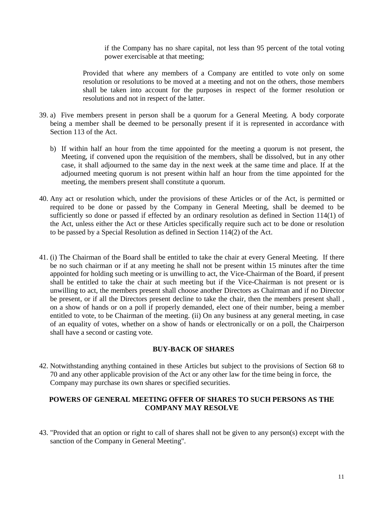if the Company has no share capital, not less than 95 percent of the total voting power exercisable at that meeting;

Provided that where any members of a Company are entitled to vote only on some resolution or resolutions to be moved at a meeting and not on the others, those members shall be taken into account for the purposes in respect of the former resolution or resolutions and not in respect of the latter.

- 39. a) Five members present in person shall be a quorum for a General Meeting. A body corporate being a member shall be deemed to be personally present if it is represented in accordance with Section 113 of the Act.
	- b) If within half an hour from the time appointed for the meeting a quorum is not present, the Meeting, if convened upon the requisition of the members, shall be dissolved, but in any other case, it shall adjourned to the same day in the next week at the same time and place. If at the adjourned meeting quorum is not present within half an hour from the time appointed for the meeting, the members present shall constitute a quorum.
- 40. Any act or resolution which, under the provisions of these Articles or of the Act, is permitted or required to be done or passed by the Company in General Meeting, shall be deemed to be sufficiently so done or passed if effected by an ordinary resolution as defined in Section 114(1) of the Act, unless either the Act or these Articles specifically require such act to be done or resolution to be passed by a Special Resolution as defined in Section 114(2) of the Act.
- 41. (i) The Chairman of the Board shall be entitled to take the chair at every General Meeting. If there be no such chairman or if at any meeting he shall not be present within 15 minutes after the time appointed for holding such meeting or is unwilling to act, the Vice-Chairman of the Board, if present shall be entitled to take the chair at such meeting but if the Vice-Chairman is not present or is unwilling to act, the members present shall choose another Directors as Chairman and if no Director be present, or if all the Directors present decline to take the chair, then the members present shall , on a show of hands or on a poll if properly demanded, elect one of their number, being a member entitled to vote, to be Chairman of the meeting. (ii) On any business at any general meeting, in case of an equality of votes, whether on a show of hands or electronically or on a poll, the Chairperson shall have a second or casting vote.

#### **BUY-BACK OF SHARES**

42. Notwithstanding anything contained in these Articles but subject to the provisions of Section 68 to 70 and any other applicable provision of the Act or any other law for the time being in force, the Company may purchase its own shares or specified securities.

#### **POWERS OF GENERAL MEETING OFFER OF SHARES TO SUCH PERSONS AS THE COMPANY MAY RESOLVE**

43. "Provided that an option or right to call of shares shall not be given to any person(s) except with the sanction of the Company in General Meeting".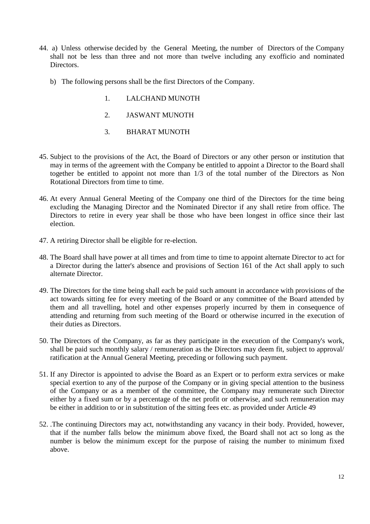- 44. a) Unless otherwise decided by the General Meeting, the number of Directors of the Company shall not be less than three and not more than twelve including any exofficio and nominated Directors.
	- b) The following persons shall be the first Directors of the Company.
		- 1. LALCHAND MUNOTH
		- 2. JASWANT MUNOTH
		- 3. BHARAT MUNOTH
- 45. Subject to the provisions of the Act, the Board of Directors or any other person or institution that may in terms of the agreement with the Company be entitled to appoint a Director to the Board shall together be entitled to appoint not more than 1/3 of the total number of the Directors as Non Rotational Directors from time to time.
- 46. At every Annual General Meeting of the Company one third of the Directors for the time being excluding the Managing Director and the Nominated Director if any shall retire from office. The Directors to retire in every year shall be those who have been longest in office since their last election.
- 47. A retiring Director shall be eligible for re-election.
- 48. The Board shall have power at all times and from time to time to appoint alternate Director to act for a Director during the latter's absence and provisions of Section 161 of the Act shall apply to such alternate Director.
- 49. The Directors for the time being shall each be paid such amount in accordance with provisions of the act towards sitting fee for every meeting of the Board or any committee of the Board attended by them and all travelling, hotel and other expenses properly incurred by them in consequence of attending and returning from such meeting of the Board or otherwise incurred in the execution of their duties as Directors.
- 50. The Directors of the Company, as far as they participate in the execution of the Company's work, shall be paid such monthly salary / remuneration as the Directors may deem fit, subject to approval/ ratification at the Annual General Meeting, preceding or following such payment.
- 51. If any Director is appointed to advise the Board as an Expert or to perform extra services or make special exertion to any of the purpose of the Company or in giving special attention to the business of the Company or as a member of the committee, the Company may remunerate such Director either by a fixed sum or by a percentage of the net profit or otherwise, and such remuneration may be either in addition to or in substitution of the sitting fees etc. as provided under Article 49
- 52. .The continuing Directors may act, notwithstanding any vacancy in their body. Provided, however, that if the number falls below the minimum above fixed, the Board shall not act so long as the number is below the minimum except for the purpose of raising the number to minimum fixed above.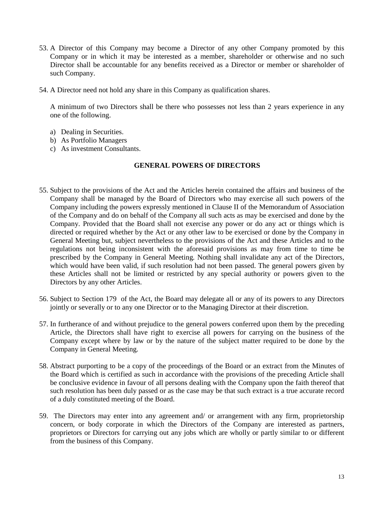- 53. A Director of this Company may become a Director of any other Company promoted by this Company or in which it may be interested as a member, shareholder or otherwise and no such Director shall be accountable for any benefits received as a Director or member or shareholder of such Company.
- 54. A Director need not hold any share in this Company as qualification shares.

A minimum of two Directors shall be there who possesses not less than 2 years experience in any one of the following.

- a) Dealing in Securities.
- b) As Portfolio Managers
- c) As investment Consultants.

#### **GENERAL POWERS OF DIRECTORS**

- 55. Subject to the provisions of the Act and the Articles herein contained the affairs and business of the Company shall be managed by the Board of Directors who may exercise all such powers of the Company including the powers expressly mentioned in Clause II of the Memorandum of Association of the Company and do on behalf of the Company all such acts as may be exercised and done by the Company. Provided that the Board shall not exercise any power or do any act or things which is directed or required whether by the Act or any other law to be exercised or done by the Company in General Meeting but, subject nevertheless to the provisions of the Act and these Articles and to the regulations not being inconsistent with the aforesaid provisions as may from time to time be prescribed by the Company in General Meeting. Nothing shall invalidate any act of the Directors, which would have been valid, if such resolution had not been passed. The general powers given by these Articles shall not be limited or restricted by any special authority or powers given to the Directors by any other Articles.
- 56. Subject to Section 179 of the Act, the Board may delegate all or any of its powers to any Directors jointly or severally or to any one Director or to the Managing Director at their discretion.
- 57. In furtherance of and without prejudice to the general powers conferred upon them by the preceding Article, the Directors shall have right to exercise all powers for carrying on the business of the Company except where by law or by the nature of the subject matter required to be done by the Company in General Meeting.
- 58. Abstract purporting to be a copy of the proceedings of the Board or an extract from the Minutes of the Board which is certified as such in accordance with the provisions of the preceding Article shall be conclusive evidence in favour of all persons dealing with the Company upon the faith thereof that such resolution has been duly passed or as the case may be that such extract is a true accurate record of a duly constituted meeting of the Board.
- 59. The Directors may enter into any agreement and/ or arrangement with any firm, proprietorship concern, or body corporate in which the Directors of the Company are interested as partners, proprietors or Directors for carrying out any jobs which are wholly or partly similar to or different from the business of this Company.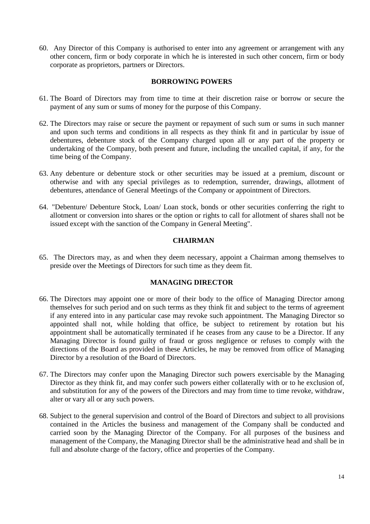60. Any Director of this Company is authorised to enter into any agreement or arrangement with any other concern, firm or body corporate in which he is interested in such other concern, firm or body corporate as proprietors, partners or Directors.

#### **BORROWING POWERS**

- 61. The Board of Directors may from time to time at their discretion raise or borrow or secure the payment of any sum or sums of money for the purpose of this Company.
- 62. The Directors may raise or secure the payment or repayment of such sum or sums in such manner and upon such terms and conditions in all respects as they think fit and in particular by issue of debentures, debenture stock of the Company charged upon all or any part of the property or undertaking of the Company, both present and future, including the uncalled capital, if any, for the time being of the Company.
- 63. Any debenture or debenture stock or other securities may be issued at a premium, discount or otherwise and with any special privileges as to redemption, surrender, drawings, allotment of debentures, attendance of General Meetings of the Company or appointment of Directors.
- 64. "Debenture/ Debenture Stock, Loan/ Loan stock, bonds or other securities conferring the right to allotment or conversion into shares or the option or rights to call for allotment of shares shall not be issued except with the sanction of the Company in General Meeting".

#### **CHAIRMAN**

65. The Directors may, as and when they deem necessary, appoint a Chairman among themselves to preside over the Meetings of Directors for such time as they deem fit.

#### **MANAGING DIRECTOR**

- 66. The Directors may appoint one or more of their body to the office of Managing Director among themselves for such period and on such terms as they think fit and subject to the terms of agreement if any entered into in any particular case may revoke such appointment. The Managing Director so appointed shall not, while holding that office, be subject to retirement by rotation but his appointment shall be automatically terminated if he ceases from any cause to be a Director. If any Managing Director is found guilty of fraud or gross negligence or refuses to comply with the directions of the Board as provided in these Articles, he may be removed from office of Managing Director by a resolution of the Board of Directors.
- 67. The Directors may confer upon the Managing Director such powers exercisable by the Managing Director as they think fit, and may confer such powers either collaterally with or to he exclusion of, and substitution for any of the powers of the Directors and may from time to time revoke, withdraw, alter or vary all or any such powers.
- 68. Subject to the general supervision and control of the Board of Directors and subject to all provisions contained in the Articles the business and management of the Company shall be conducted and carried soon by the Managing Director of the Company. For all purposes of the business and management of the Company, the Managing Director shall be the administrative head and shall be in full and absolute charge of the factory, office and properties of the Company.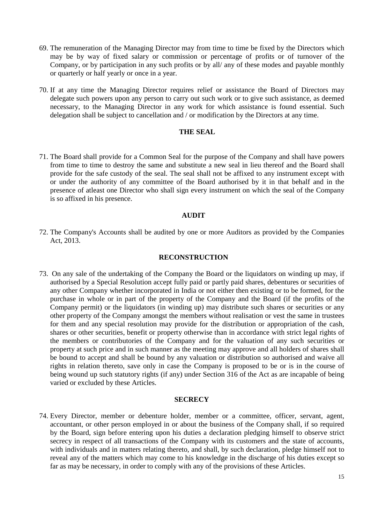- 69. The remuneration of the Managing Director may from time to time be fixed by the Directors which may be by way of fixed salary or commission or percentage of profits or of turnover of the Company, or by participation in any such profits or by all/ any of these modes and payable monthly or quarterly or half yearly or once in a year.
- 70. If at any time the Managing Director requires relief or assistance the Board of Directors may delegate such powers upon any person to carry out such work or to give such assistance, as deemed necessary, to the Managing Director in any work for which assistance is found essential. Such delegation shall be subject to cancellation and / or modification by the Directors at any time.

#### **THE SEAL**

71. The Board shall provide for a Common Seal for the purpose of the Company and shall have powers from time to time to destroy the same and substitute a new seal in lieu thereof and the Board shall provide for the safe custody of the seal. The seal shall not be affixed to any instrument except with or under the authority of any committee of the Board authorised by it in that behalf and in the presence of atleast one Director who shall sign every instrument on which the seal of the Company is so affixed in his presence.

#### **AUDIT**

72. The Company's Accounts shall be audited by one or more Auditors as provided by the Companies Act, 2013.

#### **RECONSTRUCTION**

73. On any sale of the undertaking of the Company the Board or the liquidators on winding up may, if authorised by a Special Resolution accept fully paid or partly paid shares, debentures or securities of any other Company whether incorporated in India or not either then existing or to be formed, for the purchase in whole or in part of the property of the Company and the Board (if the profits of the Company permit) or the liquidators (in winding up) may distribute such shares or securities or any other property of the Company amongst the members without realisation or vest the same in trustees for them and any special resolution may provide for the distribution or appropriation of the cash, shares or other securities, benefit or property otherwise than in accordance with strict legal rights of the members or contributories of the Company and for the valuation of any such securities or property at such price and in such manner as the meeting may approve and all holders of shares shall be bound to accept and shall be bound by any valuation or distribution so authorised and waive all rights in relation thereto, save only in case the Company is proposed to be or is in the course of being wound up such statutory rights (if any) under Section 316 of the Act as are incapable of being varied or excluded by these Articles.

#### **SECRECY**

74. Every Director, member or debenture holder, member or a committee, officer, servant, agent, accountant, or other person employed in or about the business of the Company shall, if so required by the Board, sign before entering upon his duties a declaration pledging himself to observe strict secrecy in respect of all transactions of the Company with its customers and the state of accounts, with individuals and in matters relating thereto, and shall, by such declaration, pledge himself not to reveal any of the matters which may come to his knowledge in the discharge of his duties except so far as may be necessary, in order to comply with any of the provisions of these Articles.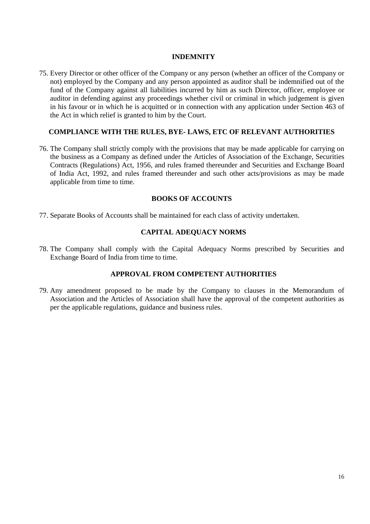#### **INDEMNITY**

75. Every Director or other officer of the Company or any person (whether an officer of the Company or not) employed by the Company and any person appointed as auditor shall be indemnified out of the fund of the Company against all liabilities incurred by him as such Director, officer, employee or auditor in defending against any proceedings whether civil or criminal in which judgement is given in his favour or in which he is acquitted or in connection with any application under Section 463 of the Act in which relief is granted to him by the Court.

#### **COMPLIANCE WITH THE RULES, BYE- LAWS, ETC OF RELEVANT AUTHORITIES**

76. The Company shall strictly comply with the provisions that may be made applicable for carrying on the business as a Company as defined under the Articles of Association of the Exchange, Securities Contracts (Regulations) Act, 1956, and rules framed thereunder and Securities and Exchange Board of India Act, 1992, and rules framed thereunder and such other acts/provisions as may be made applicable from time to time.

#### **BOOKS OF ACCOUNTS**

77. Separate Books of Accounts shall be maintained for each class of activity undertaken.

#### **CAPITAL ADEQUACY NORMS**

78. The Company shall comply with the Capital Adequacy Norms prescribed by Securities and Exchange Board of India from time to time.

#### **APPROVAL FROM COMPETENT AUTHORITIES**

79. Any amendment proposed to be made by the Company to clauses in the Memorandum of Association and the Articles of Association shall have the approval of the competent authorities as per the applicable regulations, guidance and business rules.